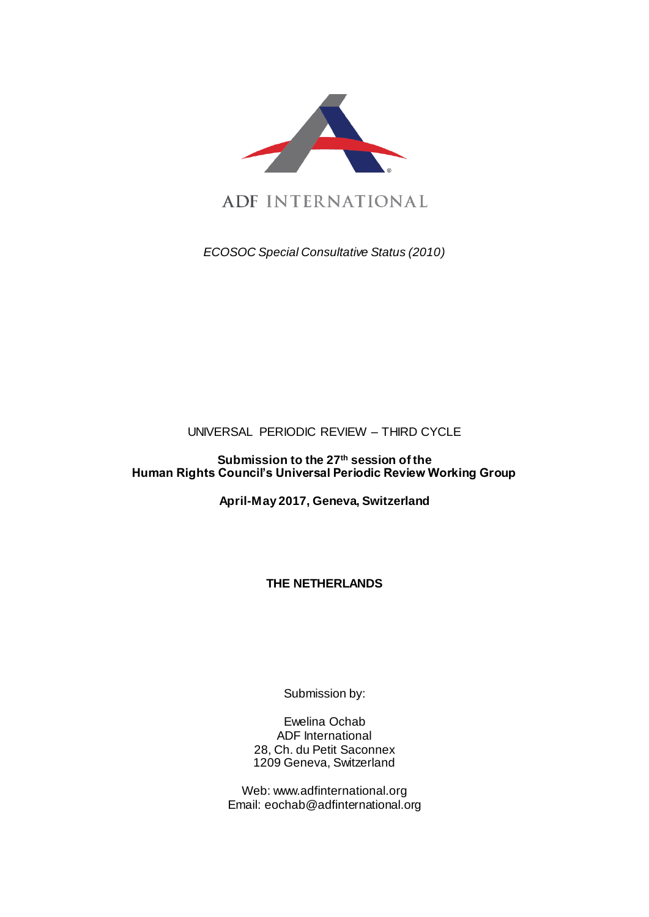

ADF INTERNATIONAL

*ECOSOC Special Consultative Status (2010)*

UNIVERSAL PERIODIC REVIEW – THIRD CYCLE

**Submission to the 27 th session of the Human Rights Council's Universal Periodic Review Working Group** 

**April-May 2017, Geneva, Switzerland**

**THE NETHERLANDS**

Submission by:

Ewelina Ochab ADF International 28, Ch. du Petit Saconnex 1209 Geneva, Switzerland

Web: www.adfinternational.org Email: eochab@adfinternational.org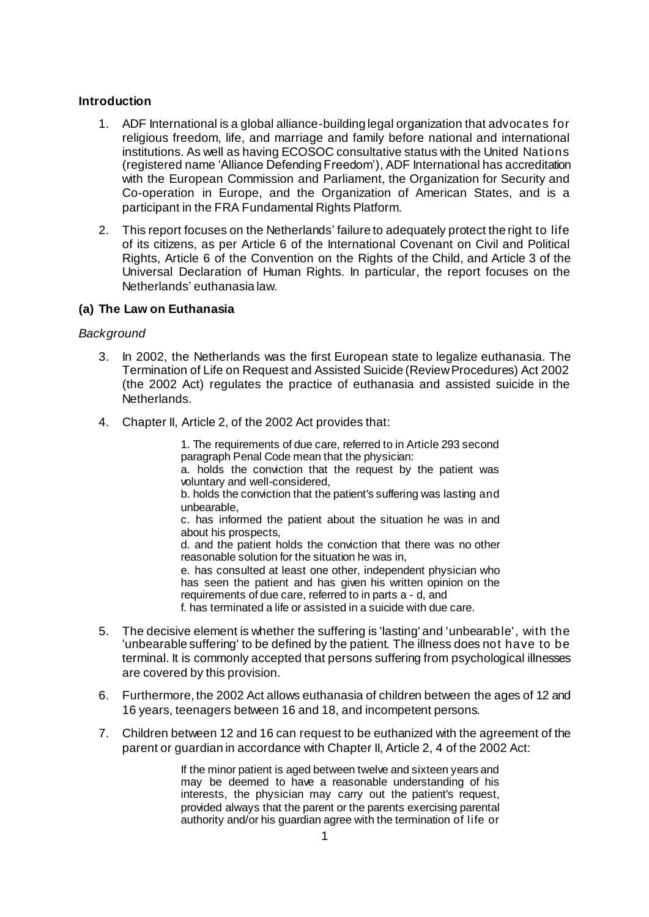### **Introduction**

- 1. ADF International is a global alliance-building legal organization that advocates for religious freedom, life, and marriage and family before national and international institutions. As well as having ECOSOC consultative status with the United Nations (registered name 'Alliance Defending Freedom'), ADF International has accreditation with the European Commission and Parliament, the Organization for Security and Co-operation in Europe, and the Organization of American States, and is a participant in the FRA Fundamental Rights Platform.
- 2. This report focuses on the Netherlands' failure to adequately protect the right to life of its citizens, as per Article 6 of the International Covenant on Civil and Political Rights, Article 6 of the Convention on the Rights of the Child, and Article 3 of the Universal Declaration of Human Rights. In particular, the report focuses on the Netherlands' euthanasia law.

# **(a) The Law on Euthanasia**

### *Background*

- 3. In 2002, the Netherlands was the first European state to legalize euthanasia. The Termination of Life on Request and Assisted Suicide (Review Procedures) Act 2002 (the 2002 Act) regulates the practice of euthanasia and assisted suicide in the Netherlands.
- 4. Chapter II, Article 2, of the 2002 Act provides that:

1. The requirements of due care, referred to in Article 293 second paragraph Penal Code mean that the physician:

a. holds the conviction that the request by the patient was voluntary and well-considered,

b. holds the conviction that the patient's suffering was lasting and unbearable,

c. has informed the patient about the situation he was in and about his prospects,

d. and the patient holds the conviction that there was no other reasonable solution for the situation he was in.

e. has consulted at least one other, independent physician who has seen the patient and has given his written opinion on the requirements of due care, referred to in parts a - d, and

f. has terminated a life or assisted in a suicide with due care.

- 5. The decisive element is whether the suffering is 'lasting' and 'unbearable', with the 'unbearable suffering' to be defined by the patient. The illness does not have to be terminal. It is commonly accepted that persons suffering from psychological illnesses are covered by this provision.
- 6. Furthermore, the 2002 Act allows euthanasia of children between the ages of 12 and 16 years, teenagers between 16 and 18, and incompetent persons.
- 7. Children between 12 and 16 can request to be euthanized with the agreement of the parent or guardian in accordance with Chapter II, Article 2, 4 of the 2002 Act:

If the minor patient is aged between twelve and sixteen years and may be deemed to have a reasonable understanding of his interests, the physician may carry out the patient's request, provided always that the parent or the parents exercising parental authority and/or his guardian agree with the termination of life or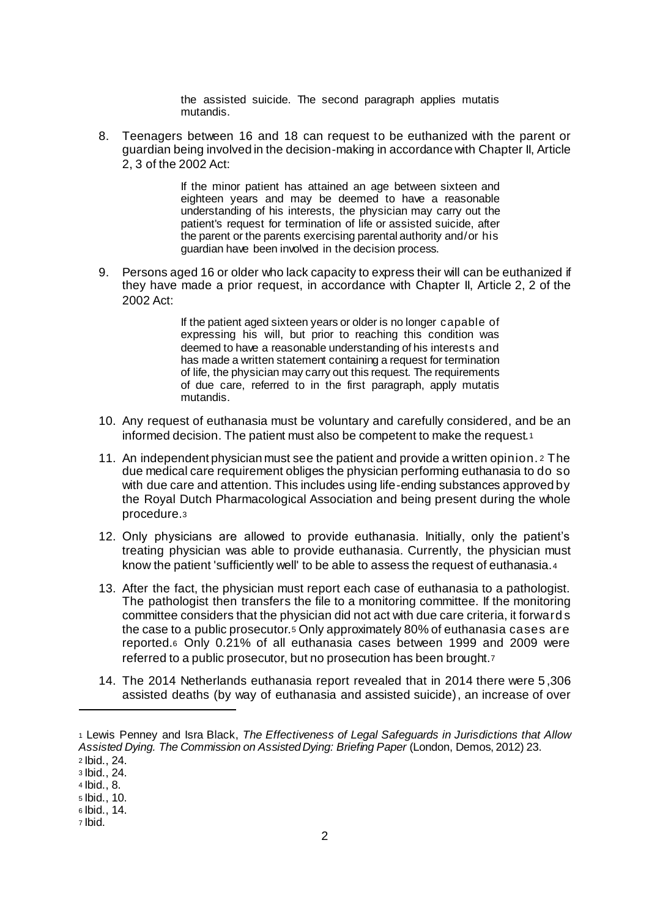the assisted suicide. The second paragraph applies mutatis mutandis.

8. Teenagers between 16 and 18 can request to be euthanized with the parent or guardian being involved in the decision-making in accordance with Chapter II, Article 2, 3 of the 2002 Act:

> If the minor patient has attained an age between sixteen and eighteen years and may be deemed to have a reasonable understanding of his interests, the physician may carry out the patient's request for termination of life or assisted suicide, after the parent or the parents exercising parental authority and/or his guardian have been involved in the decision process.

9. Persons aged 16 or older who lack capacity to express their will can be euthanized if they have made a prior request, in accordance with Chapter II, Article 2, 2 of the 2002 Act:

> If the patient aged sixteen years or older is no longer capable of expressing his will, but prior to reaching this condition was deemed to have a reasonable understanding of his interests and has made a written statement containing a request for termination of life, the physician may carry out this request. The requirements of due care, referred to in the first paragraph, apply mutatis mutandis.

- 10. Any request of euthanasia must be voluntary and carefully considered, and be an informed decision. The patient must also be competent to make the request.<sup>1</sup>
- 11. An independent physician must see the patient and provide a written opinion. <sup>2</sup> The due medical care requirement obliges the physician performing euthanasia to do so with due care and attention. This includes using life-ending substances approved by the Royal Dutch Pharmacological Association and being present during the whole procedure.<sup>3</sup>
- 12. Only physicians are allowed to provide euthanasia. Initially, only the patient's treating physician was able to provide euthanasia. Currently, the physician must know the patient 'sufficiently well' to be able to assess the request of euthanasia.<sup>4</sup>
- 13. After the fact, the physician must report each case of euthanasia to a pathologist. The pathologist then transfers the file to a monitoring committee. If the monitoring committee considers that the physician did not act with due care criteria, it forward s the case to a public prosecutor.<sup>5</sup> Only approximately 80% of euthanasia cases are reported.<sup>6</sup> Only 0.21% of all euthanasia cases between 1999 and 2009 were referred to a public prosecutor, but no prosecution has been brought.<sup>7</sup>
- 14. The 2014 Netherlands euthanasia report revealed that in 2014 there were 5 ,306 assisted deaths (by way of euthanasia and assisted suicide), an increase of over

 $\overline{a}$ 

<sup>7</sup> Ibid.

<sup>1</sup> Lewis Penney and Isra Black, *The Effectiveness of Legal Safeguards in Jurisdictions that Allow Assisted Dying. The Commission on Assisted Dying: Briefing Paper* (London, Demos, 2012) 23.

<sup>2</sup> Ibid., 24.

<sup>3</sup> Ibid., 24.

<sup>4</sup> Ibid., 8. <sup>5</sup> Ibid., 10.

<sup>6</sup> Ibid., 14.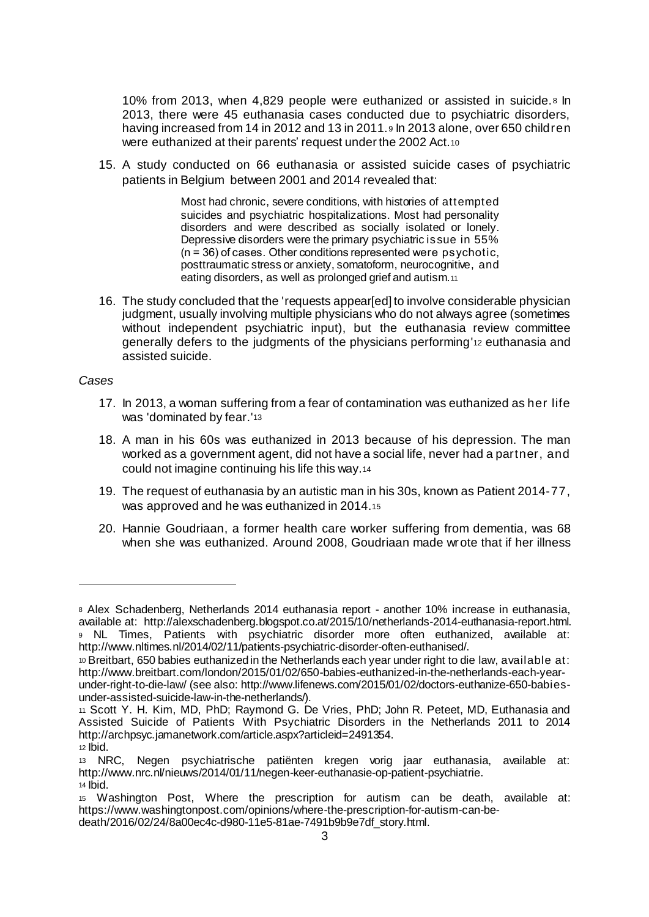10% from 2013, when 4,829 people were euthanized or assisted in suicide.<sup>8</sup> In 2013, there were 45 euthanasia cases conducted due to psychiatric disorders, having increased from 14 in 2012 and 13 in 2011.9 In 2013 alone, over 650 children were euthanized at their parents' request under the 2002 Act.<sup>10</sup>

15. A study conducted on 66 euthanasia or assisted suicide cases of psychiatric patients in Belgium between 2001 and 2014 revealed that:

> Most had chronic, severe conditions, with histories of attempted suicides and psychiatric hospitalizations. Most had personality disorders and were described as socially isolated or lonely. Depressive disorders were the primary psychiatric issue in 55%  $(n = 36)$  of cases. Other conditions represented were psychotic, posttraumatic stress or anxiety, somatoform, neurocognitive, and eating disorders, as well as prolonged grief and autism.<sup>11</sup>

16. The study concluded that the 'requests appear[ed] to involve considerable physician judgment, usually involving multiple physicians who do not always agree (sometimes without independent psychiatric input), but the euthanasia review committee generally defers to the judgments of the physicians performing'<sup>12</sup> euthanasia and assisted suicide.

#### *Cases*

- 17. In 2013, a woman suffering from a fear of contamination was euthanized as her life was 'dominated by fear.'13
- 18. A man in his 60s was euthanized in 2013 because of his depression. The man worked as a government agent, did not have a social life, never had a partner, and could not imagine continuing his life this way.<sup>14</sup>
- 19. The request of euthanasia by an autistic man in his 30s, known as Patient 2014-77, was approved and he was euthanized in 2014.<sup>15</sup>
- 20. Hannie Goudriaan, a former health care worker suffering from dementia, was 68 when she was euthanized. Around 2008, Goudriaan made wrote that if her illness

l

<sup>8</sup> Alex Schadenberg, Netherlands 2014 euthanasia report - another 10% increase in euthanasia, available at: http://alexschadenberg.blogspot.co.at/2015/10/netherlands-2014-euthanasia-report.html. <sup>9</sup> NL Times, Patients with psychiatric disorder more often euthanized, available at: http://www.nltimes.nl/2014/02/11/patients-psychiatric-disorder-often-euthanised/.

<sup>10</sup> Breitbart, 650 babies euthanized in the Netherlands each year under right to die law, available at: http://www.breitbart.com/london/2015/01/02/650-babies-euthanized-in-the-netherlands-each-yearunder-right-to-die-law/ (see also: http://www.lifenews.com/2015/01/02/doctors-euthanize-650-babiesunder-assisted-suicide-law-in-the-netherlands/).

<sup>11</sup> Scott Y. H. Kim, MD, PhD; Raymond G. De Vries, PhD; John R. Peteet, MD, Euthanasia and Assisted Suicide of Patients With Psychiatric Disorders in the Netherlands 2011 to 2014 http://archpsyc.jamanetwork.com/article.aspx?articleid=2491354.

<sup>12</sup> Ibid.

<sup>13</sup> NRC, Negen psychiatrische patiënten kregen vorig jaar euthanasia, available at: http://www.nrc.nl/nieuws/2014/01/11/negen-keer-euthanasie-op-patient-psychiatrie. <sup>14</sup> Ibid.

<sup>15</sup> Washington Post, Where the prescription for autism can be death, available at: https://www.washingtonpost.com/opinions/where-the-prescription-for-autism-can-bedeath/2016/02/24/8a00ec4c-d980-11e5-81ae-7491b9b9e7df\_story.html.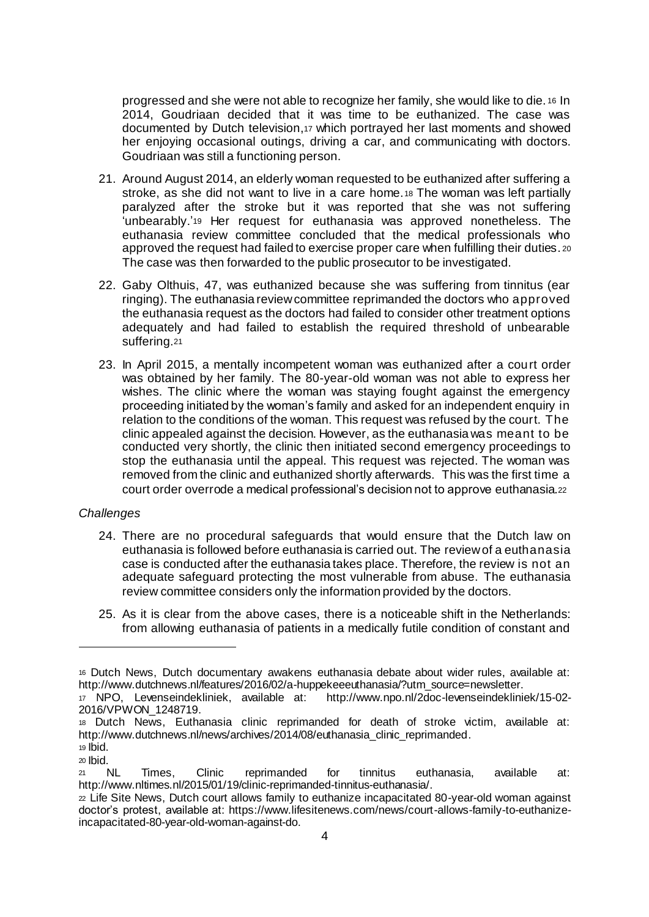progressed and she were not able to recognize her family, she would like to die. <sup>16</sup> In 2014, Goudriaan decided that it was time to be euthanized. The case was documented by Dutch television,<sup>17</sup> which portrayed her last moments and showed her enjoying occasional outings, driving a car, and communicating with doctors. Goudriaan was still a functioning person.

- 21. Around August 2014, an elderly woman requested to be euthanized after suffering a stroke, as she did not want to live in a care home.<sup>18</sup> The woman was left partially paralyzed after the stroke but it was reported that she was not suffering 'unbearably.'<sup>19</sup> Her request for euthanasia was approved nonetheless. The euthanasia review committee concluded that the medical professionals who approved the request had failed to exercise proper care when fulfilling their duties. <sup>20</sup> The case was then forwarded to the public prosecutor to be investigated.
- 22. Gaby Olthuis, 47, was euthanized because she was suffering from tinnitus (ear ringing). The euthanasia review committee reprimanded the doctors who approved the euthanasia request as the doctors had failed to consider other treatment options adequately and had failed to establish the required threshold of unbearable suffering.<sup>21</sup>
- 23. In April 2015, a mentally incompetent woman was euthanized after a court order was obtained by her family. The 80-year-old woman was not able to express her wishes. The clinic where the woman was staying fought against the emergency proceeding initiated by the woman's family and asked for an independent enquiry in relation to the conditions of the woman. This request was refused by the court. The clinic appealed against the decision. However, as the euthanasia was meant to be conducted very shortly, the clinic then initiated second emergency proceedings to stop the euthanasia until the appeal. This request was rejected. The woman was removed from the clinic and euthanized shortly afterwards. This was the first time a court order overrode a medical professional's decision not to approve euthanasia.<sup>22</sup>

### *Challenges*

- 24. There are no procedural safeguards that would ensure that the Dutch law on euthanasia is followed before euthanasia is carried out. The review of a euthanasia case is conducted after the euthanasia takes place. Therefore, the review is not an adequate safeguard protecting the most vulnerable from abuse. The euthanasia review committee considers only the information provided by the doctors.
- 25. As it is clear from the above cases, there is a noticeable shift in the Netherlands: from allowing euthanasia of patients in a medically futile condition of constant and

 $\overline{a}$ 

<sup>16</sup> Dutch News, Dutch documentary awakens euthanasia debate about wider rules, available at: http://www.dutchnews.nl/features/2016/02/a-huppekeeeuthanasia/?utm\_source=newsletter.

<sup>17</sup> NPO, Levenseindekliniek, available at: http://www.npo.nl/2doc-levenseindekliniek/15-02- 2016/VPWON\_1248719.

<sup>18</sup> Dutch News, Euthanasia clinic reprimanded for death of stroke victim, available at: http://www.dutchnews.nl/news/archives/2014/08/euthanasia\_clinic\_reprimanded.

 $19$  lbid. <sup>20</sup> Ibid.

<sup>21</sup> NL Times, Clinic reprimanded for tinnitus euthanasia, available at: http://www.nltimes.nl/2015/01/19/clinic-reprimanded-tinnitus-euthanasia/.

<sup>22</sup> Life Site News, Dutch court allows family to euthanize incapacitated 80-year-old woman against doctor's protest, available at: https://www.lifesitenews.com/news/court-allows-family-to-euthanizeincapacitated-80-year-old-woman-against-do.